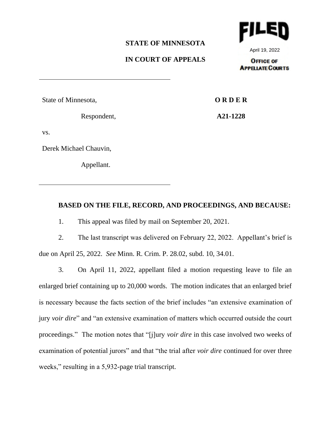#### **STATE OF MINNESOTA**

# **IN COURT OF APPEALS**

April 19, 2022

**OFFICE OF APPELATE COURTS** 

State of Minnesota,

Respondent,

**O R D E R**

**A21-1228**

vs.

Derek Michael Chauvin,

Appellant.

## **BASED ON THE FILE, RECORD, AND PROCEEDINGS, AND BECAUSE:**

1. This appeal was filed by mail on September 20, 2021.

2. The last transcript was delivered on February 22, 2022. Appellant's brief is due on April 25, 2022. *See* Minn. R. Crim. P. 28.02, subd. 10, 34.01.

3. On April 11, 2022, appellant filed a motion requesting leave to file an enlarged brief containing up to 20,000 words. The motion indicates that an enlarged brief is necessary because the facts section of the brief includes "an extensive examination of jury *voir dire*" and "an extensive examination of matters which occurred outside the court proceedings." The motion notes that "[j]ury *voir dire* in this case involved two weeks of examination of potential jurors" and that "the trial after *voir dire* continued for over three weeks," resulting in a 5,932-page trial transcript.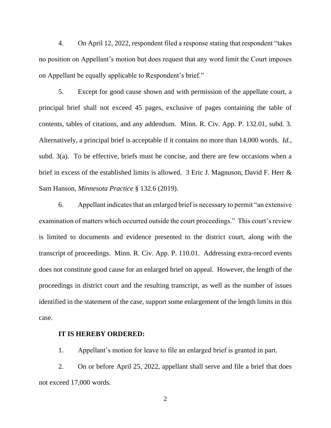4. On April 12, 2022, respondent filed a response stating that respondent "takes no position on Appellant's motion but does request that any word limit the Court imposes on Appellant be equally applicable to Respondent's brief."

5. Except for good cause shown and with permission of the appellate court, a principal brief shall not exceed 45 pages, exclusive of pages containing the table of contents, tables of citations, and any addendum. Minn. R. Civ. App. P. 132.01, subd. 3. Alternatively, a principal brief is acceptable if it contains no more than 14,000 words. *Id.*, subd. 3(a). To be effective, briefs must be concise, and there are few occasions when a brief in excess of the established limits is allowed. 3 Eric J. Magnuson, David F. Herr & Sam Hanson, *Minnesota Practice* § 132.6 (2019).

6. Appellant indicates that an enlarged brief is necessary to permit "an extensive examination of matters which occurred outside the court proceedings." This court's review is limited to documents and evidence presented to the district court, along with the transcript of proceedings. Minn. R. Civ. App. P. 110.01. Addressing extra-record events does not constitute good cause for an enlarged brief on appeal. However, the length of the proceedings in district court and the resulting transcript, as well as the number of issues identified in the statement of the case, support some enlargement of the length limits in this case.

#### **IT IS HEREBY ORDERED:**

1. Appellant's motion for leave to file an enlarged brief is granted in part.

2. On or before April 25, 2022, appellant shall serve and file a brief that does not exceed 17,000 words.

2